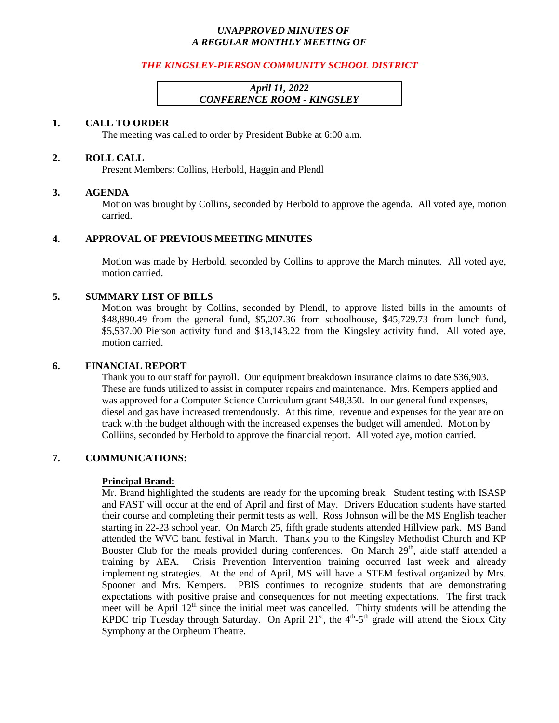## *UNAPPROVED MINUTES OF A REGULAR MONTHLY MEETING OF*

# *THE KINGSLEY-PIERSON COMMUNITY SCHOOL DISTRICT*

# *April 11, 2022 CONFERENCE ROOM - KINGSLEY*

#### **1. CALL TO ORDER**

The meeting was called to order by President Bubke at 6:00 a.m.

### **2. ROLL CALL**

Present Members: Collins, Herbold, Haggin and Plendl

### **3. AGENDA**

Motion was brought by Collins, seconded by Herbold to approve the agenda. All voted aye, motion carried.

### **4. APPROVAL OF PREVIOUS MEETING MINUTES**

Motion was made by Herbold, seconded by Collins to approve the March minutes. All voted aye, motion carried.

### **5. SUMMARY LIST OF BILLS**

Motion was brought by Collins, seconded by Plendl, to approve listed bills in the amounts of \$48,890.49 from the general fund, \$5,207.36 from schoolhouse, \$45,729.73 from lunch fund, \$5,537.00 Pierson activity fund and \$18,143.22 from the Kingsley activity fund. All voted aye, motion carried.

#### **6. FINANCIAL REPORT**

Thank you to our staff for payroll. Our equipment breakdown insurance claims to date \$36,903. These are funds utilized to assist in computer repairs and maintenance. Mrs. Kempers applied and was approved for a Computer Science Curriculum grant \$48,350. In our general fund expenses, diesel and gas have increased tremendously. At this time, revenue and expenses for the year are on track with the budget although with the increased expenses the budget will amended. Motion by Colliins, seconded by Herbold to approve the financial report. All voted aye, motion carried.

# **7. COMMUNICATIONS:**

#### **Principal Brand:**

Mr. Brand highlighted the students are ready for the upcoming break. Student testing with ISASP and FAST will occur at the end of April and first of May. Drivers Education students have started their course and completing their permit tests as well. Ross Johnson will be the MS English teacher starting in 22-23 school year. On March 25, fifth grade students attended Hillview park. MS Band attended the WVC band festival in March. Thank you to the Kingsley Methodist Church and KP Booster Club for the meals provided during conferences. On March  $29<sup>th</sup>$ , aide staff attended a training by AEA. Crisis Prevention Intervention training occurred last week and already implementing strategies. At the end of April, MS will have a STEM festival organized by Mrs. Spooner and Mrs. Kempers. PBIS continues to recognize students that are demonstrating expectations with positive praise and consequences for not meeting expectations. The first track meet will be April  $12<sup>th</sup>$  since the initial meet was cancelled. Thirty students will be attending the KPDC trip Tuesday through Saturday. On April  $21<sup>st</sup>$ , the  $4<sup>th</sup>$ -5<sup>th</sup> grade will attend the Sioux City Symphony at the Orpheum Theatre.